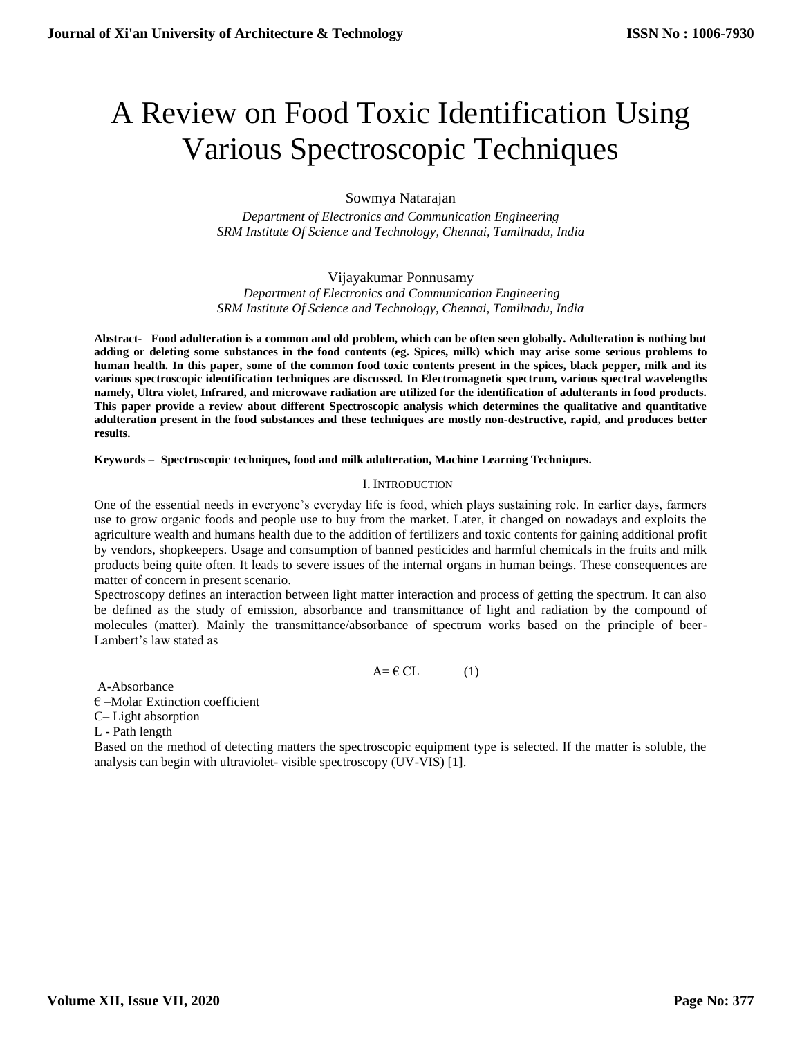# A Review on Food Toxic Identification Using Various Spectroscopic Techniques

Sowmya Natarajan

*Department of Electronics and Communication Engineering SRM Institute Of Science and Technology, Chennai, Tamilnadu, India*

Vijayakumar Ponnusamy *Department of Electronics and Communication Engineering SRM Institute Of Science and Technology, Chennai, Tamilnadu, India*

**Abstract- Food adulteration is a common and old problem, which can be often seen globally. Adulteration is nothing but adding or deleting some substances in the food contents (eg. Spices, milk) which may arise some serious problems to human health. In this paper, some of the common food toxic contents present in the spices, black pepper, milk and its various spectroscopic identification techniques are discussed. In Electromagnetic spectrum, various spectral wavelengths namely, Ultra violet, Infrared, and microwave radiation are utilized for the identification of adulterants in food products. This paper provide a review about different Spectroscopic analysis which determines the qualitative and quantitative adulteration present in the food substances and these techniques are mostly non-destructive, rapid, and produces better results.**

**Keywords – Spectroscopic techniques, food and milk adulteration, Machine Learning Techniques.**

## I. INTRODUCTION

One of the essential needs in everyone's everyday life is food, which plays sustaining role. In earlier days, farmers use to grow organic foods and people use to buy from the market. Later, it changed on nowadays and exploits the agriculture wealth and humans health due to the addition of fertilizers and toxic contents for gaining additional profit by vendors, shopkeepers. Usage and consumption of banned pesticides and harmful chemicals in the fruits and milk products being quite often. It leads to severe issues of the internal organs in human beings. These consequences are matter of concern in present scenario.

Spectroscopy defines an interaction between light matter interaction and process of getting the spectrum. It can also be defined as the study of emission, absorbance and transmittance of light and radiation by the compound of molecules (matter). Mainly the transmittance/absorbance of spectrum works based on the principle of beer-Lambert's law stated as

 $A = \text{\textsterling CL}$  (1)

A-Absorbance

 $\epsilon$  –Molar Extinction coefficient

C– Light absorption

L - Path length

Based on the method of detecting matters the spectroscopic equipment type is selected. If the matter is soluble, the analysis can begin with ultraviolet- visible spectroscopy (UV-VIS) [1].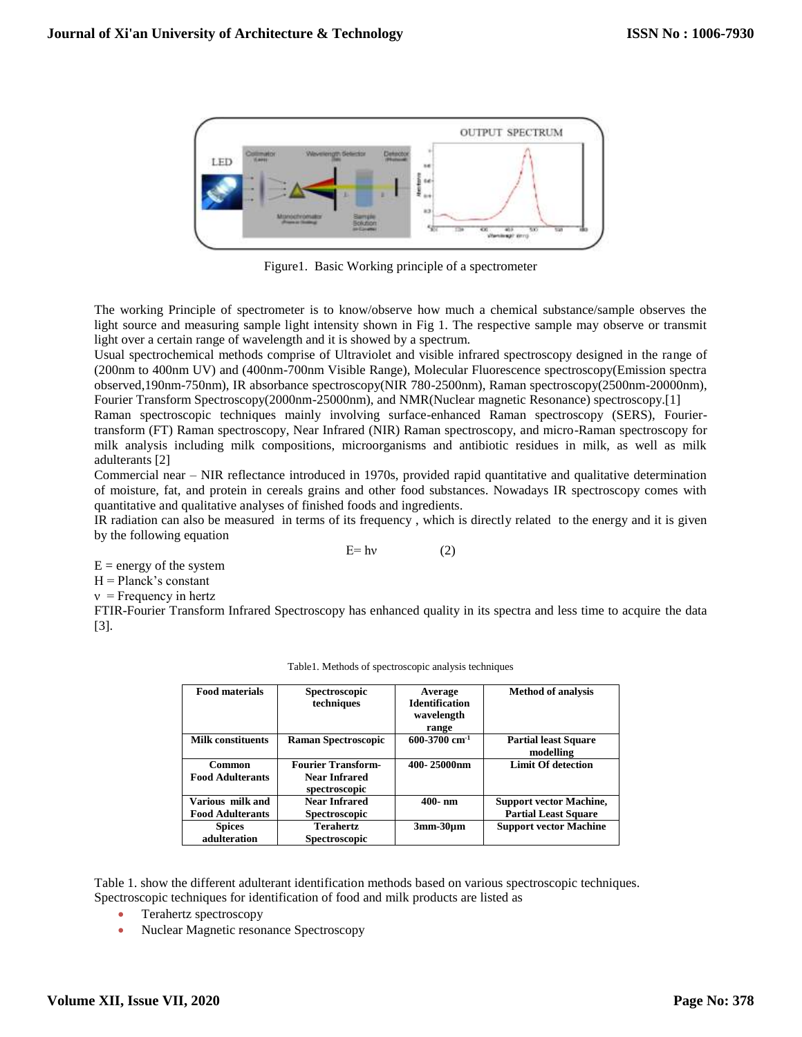

Figure1. Basic Working principle of a spectrometer

The working Principle of spectrometer is to know/observe how much a chemical substance/sample observes the light source and measuring sample light intensity shown in Fig 1. The respective sample may observe or transmit light over a certain range of wavelength and it is showed by a spectrum.

Usual spectrochemical methods comprise of Ultraviolet and visible infrared spectroscopy designed in the range of (200nm to 400nm UV) and (400nm-700nm Visible Range), Molecular Fluorescence spectroscopy(Emission spectra observed,190nm-750nm), IR absorbance spectroscopy(NIR 780-2500nm), Raman spectroscopy(2500nm-20000nm), Fourier Transform Spectroscopy(2000nm-25000nm), and NMR(Nuclear magnetic Resonance) spectroscopy.[1]

Raman spectroscopic techniques mainly involving surface-enhanced Raman spectroscopy (SERS), Fouriertransform (FT) Raman spectroscopy, Near Infrared (NIR) Raman spectroscopy, and micro-Raman spectroscopy for milk analysis including milk compositions, microorganisms and antibiotic residues in milk, as well as milk adulterants [2]

Commercial near – NIR reflectance introduced in 1970s, provided rapid quantitative and qualitative determination of moisture, fat, and protein in cereals grains and other food substances. Nowadays IR spectroscopy comes with quantitative and qualitative analyses of finished foods and ingredients.

IR radiation can also be measured in terms of its frequency , which is directly related to the energy and it is given by the following equation

 $E= h\nu$  (2)

 $E =$  energy of the system

 $H =$ Planck's constant

 $v =$  Frequency in hertz

FTIR-Fourier Transform Infrared Spectroscopy has enhanced quality in its spectra and less time to acquire the data [3].

| <b>Food materials</b>    | <b>Spectroscopic</b>       | Average                     | <b>Method of analysis</b>      |
|--------------------------|----------------------------|-----------------------------|--------------------------------|
|                          | techniques                 | <b>Identification</b>       |                                |
|                          |                            | wavelength                  |                                |
|                          |                            |                             |                                |
|                          |                            | range                       |                                |
| <b>Milk constituents</b> | <b>Raman Spectroscopic</b> | $600-3700$ cm <sup>-1</sup> | <b>Partial least Square</b>    |
|                          |                            |                             | modelling                      |
| Common                   | <b>Fourier Transform-</b>  | 400-25000nm                 | <b>Limit Of detection</b>      |
| <b>Food Adulterants</b>  | <b>Near Infrared</b>       |                             |                                |
|                          | spectroscopic              |                             |                                |
| Various milk and         | <b>Near Infrared</b>       | $400-nm$                    | <b>Support vector Machine,</b> |
| <b>Food Adulterants</b>  | <b>Spectroscopic</b>       |                             | <b>Partial Least Square</b>    |
| <b>Spices</b>            | <b>Terahertz</b>           | $3mm-30\mu m$               | <b>Support vector Machine</b>  |
| adulteration             | <b>Spectroscopic</b>       |                             |                                |

Table1. Methods of spectroscopic analysis techniques

Table 1. show the different adulterant identification methods based on various spectroscopic techniques. Spectroscopic techniques for identification of food and milk products are listed as

- Terahertz spectroscopy
- Nuclear Magnetic resonance Spectroscopy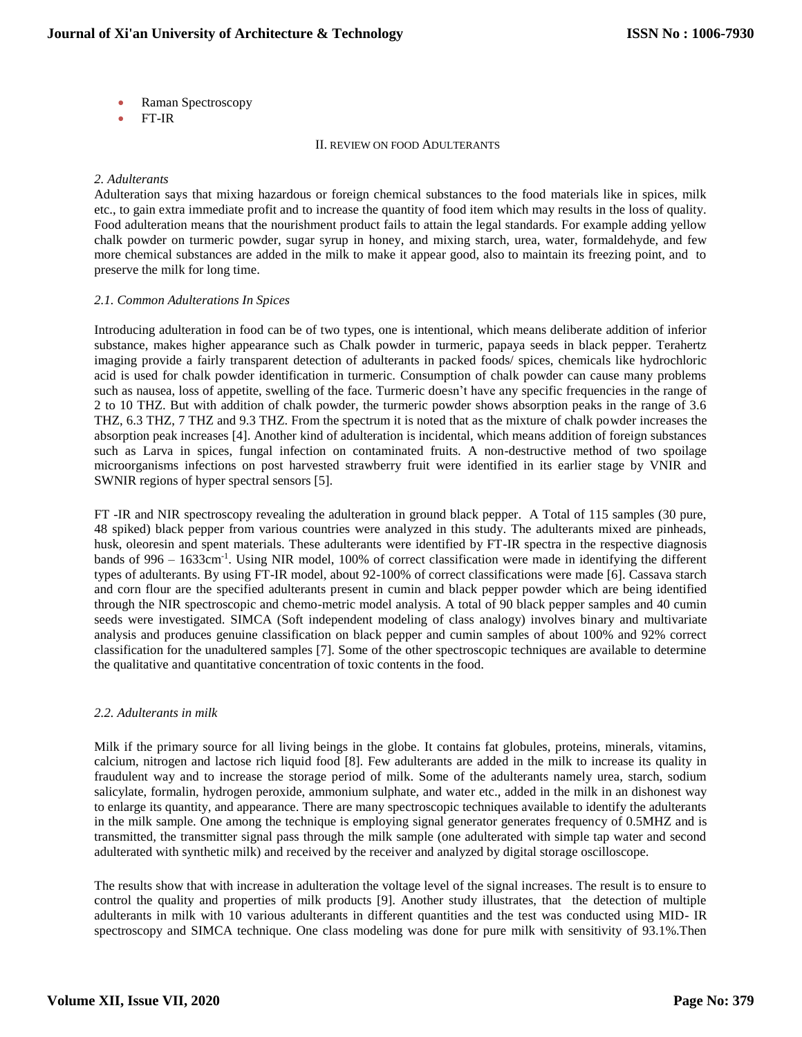- Raman Spectroscopy
- FT-IR

II. REVIEW ON FOOD ADULTERANTS

### *2. Adulterants*

Adulteration says that mixing hazardous or foreign chemical substances to the food materials like in spices, milk etc., to gain extra immediate profit and to increase the quantity of food item which may results in the loss of quality. Food adulteration means that the nourishment product fails to attain the legal standards. For example adding yellow chalk powder on turmeric powder, sugar syrup in honey, and mixing starch, urea, water, formaldehyde, and few more chemical substances are added in the milk to make it appear good, also to maintain its freezing point, and to preserve the milk for long time.

#### *2.1. Common Adulterations In Spices*

Introducing adulteration in food can be of two types, one is intentional, which means deliberate addition of inferior substance, makes higher appearance such as Chalk powder in turmeric, papaya seeds in black pepper. Terahertz imaging provide a fairly transparent detection of adulterants in packed foods/ spices, chemicals like hydrochloric acid is used for chalk powder identification in turmeric. Consumption of chalk powder can cause many problems such as nausea, loss of appetite, swelling of the face. Turmeric doesn't have any specific frequencies in the range of 2 to 10 THZ. But with addition of chalk powder, the turmeric powder shows absorption peaks in the range of 3.6 THZ, 6.3 THZ, 7 THZ and 9.3 THZ. From the spectrum it is noted that as the mixture of chalk powder increases the absorption peak increases [4]. Another kind of adulteration is incidental, which means addition of foreign substances such as Larva in spices, fungal infection on contaminated fruits. A non-destructive method of two spoilage microorganisms infections on post harvested strawberry fruit were identified in its earlier stage by VNIR and SWNIR regions of hyper spectral sensors [5].

FT -IR and NIR spectroscopy revealing the adulteration in ground black pepper. A Total of 115 samples (30 pure, 48 spiked) black pepper from various countries were analyzed in this study. The adulterants mixed are pinheads, husk, oleoresin and spent materials. These adulterants were identified by FT-IR spectra in the respective diagnosis bands of 996 – 1633cm<sup>-1</sup>. Using NIR model, 100% of correct classification were made in identifying the different types of adulterants. By using FT-IR model, about 92-100% of correct classifications were made [6]. Cassava starch and corn flour are the specified adulterants present in cumin and black pepper powder which are being identified through the NIR spectroscopic and chemo-metric model analysis. A total of 90 black pepper samples and 40 cumin seeds were investigated. SIMCA (Soft independent modeling of class analogy) involves binary and multivariate analysis and produces genuine classification on black pepper and cumin samples of about 100% and 92% correct classification for the unadultered samples [7]. Some of the other spectroscopic techniques are available to determine the qualitative and quantitative concentration of toxic contents in the food.

## *2.2. Adulterants in milk*

Milk if the primary source for all living beings in the globe. It contains fat globules, proteins, minerals, vitamins, calcium, nitrogen and lactose rich liquid food [8]. Few adulterants are added in the milk to increase its quality in fraudulent way and to increase the storage period of milk. Some of the adulterants namely urea, starch, sodium salicylate, formalin, hydrogen peroxide, ammonium sulphate, and water etc., added in the milk in an dishonest way to enlarge its quantity, and appearance. There are many spectroscopic techniques available to identify the adulterants in the milk sample. One among the technique is employing signal generator generates frequency of 0.5MHZ and is transmitted, the transmitter signal pass through the milk sample (one adulterated with simple tap water and second adulterated with synthetic milk) and received by the receiver and analyzed by digital storage oscilloscope.

The results show that with increase in adulteration the voltage level of the signal increases. The result is to ensure to control the quality and properties of milk products [9]. Another study illustrates, that the detection of multiple adulterants in milk with 10 various adulterants in different quantities and the test was conducted using MID- IR spectroscopy and SIMCA technique. One class modeling was done for pure milk with sensitivity of 93.1%.Then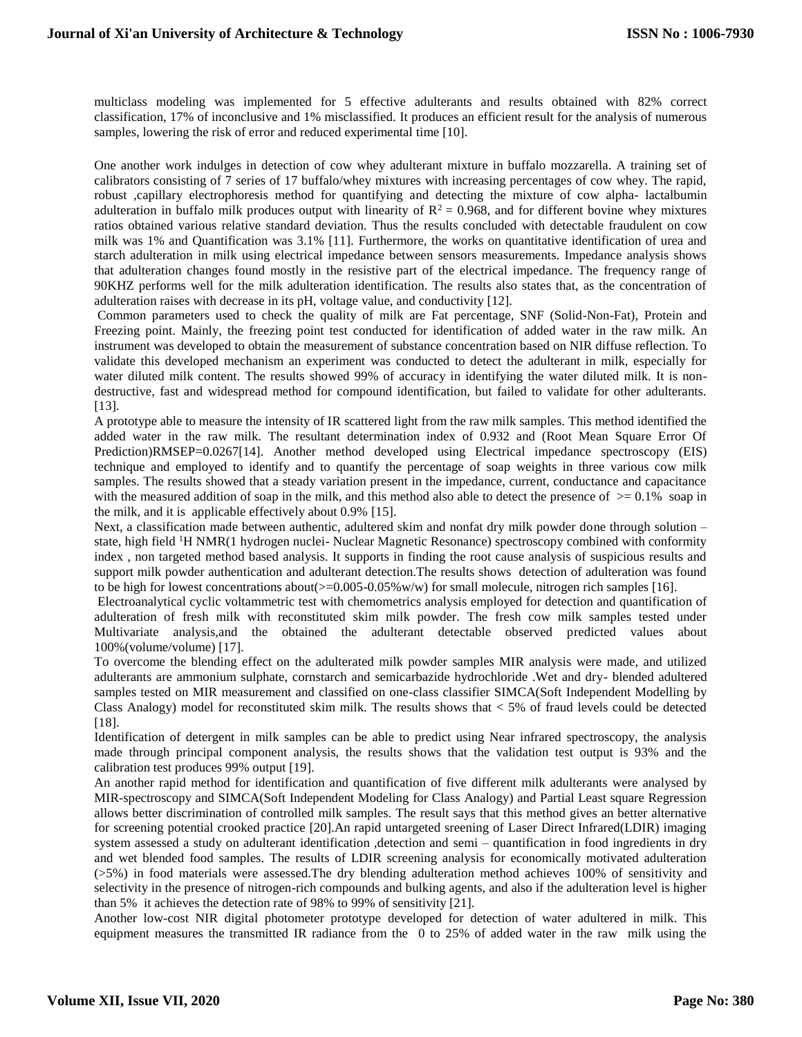multiclass modeling was implemented for 5 effective adulterants and results obtained with 82% correct classification, 17% of inconclusive and 1% misclassified. It produces an efficient result for the analysis of numerous samples, lowering the risk of error and reduced experimental time [10].

One another work indulges in detection of cow whey adulterant mixture in buffalo mozzarella. A training set of calibrators consisting of 7 series of 17 buffalo/whey mixtures with increasing percentages of cow whey. The rapid, robust ,capillary electrophoresis method for quantifying and detecting the mixture of cow alpha- lactalbumin adulteration in buffalo milk produces output with linearity of  $R^2 = 0.968$ , and for different bovine whey mixtures ratios obtained various relative standard deviation. Thus the results concluded with detectable fraudulent on cow milk was 1% and Quantification was 3.1% [11]. Furthermore, the works on quantitative identification of urea and starch adulteration in milk using electrical impedance between sensors measurements. Impedance analysis shows that adulteration changes found mostly in the resistive part of the electrical impedance. The frequency range of 90KHZ performs well for the milk adulteration identification. The results also states that, as the concentration of adulteration raises with decrease in its pH, voltage value, and conductivity [12].

Common parameters used to check the quality of milk are Fat percentage, SNF (Solid-Non-Fat), Protein and Freezing point. Mainly, the freezing point test conducted for identification of added water in the raw milk. An instrument was developed to obtain the measurement of substance concentration based on NIR diffuse reflection. To validate this developed mechanism an experiment was conducted to detect the adulterant in milk, especially for water diluted milk content. The results showed 99% of accuracy in identifying the water diluted milk. It is nondestructive, fast and widespread method for compound identification, but failed to validate for other adulterants. [13].

A prototype able to measure the intensity of IR scattered light from the raw milk samples. This method identified the added water in the raw milk. The resultant determination index of 0.932 and (Root Mean Square Error Of Prediction)RMSEP=0.0267[14]. Another method developed using Electrical impedance spectroscopy (EIS) technique and employed to identify and to quantify the percentage of soap weights in three various cow milk samples. The results showed that a steady variation present in the impedance, current, conductance and capacitance with the measured addition of soap in the milk, and this method also able to detect the presence of  $\geq 0.1\%$  soap in the milk, and it is applicable effectively about 0.9% [15].

Next, a classification made between authentic, adultered skim and nonfat dry milk powder done through solution – state, high field <sup>1</sup>H NMR(1 hydrogen nuclei- Nuclear Magnetic Resonance) spectroscopy combined with conformity index , non targeted method based analysis. It supports in finding the root cause analysis of suspicious results and support milk powder authentication and adulterant detection.The results shows detection of adulteration was found to be high for lowest concentrations about( $>=0.005-0.05\%$  w/w) for small molecule, nitrogen rich samples [16].

Electroanalytical cyclic voltammetric test with chemometrics analysis employed for detection and quantification of adulteration of fresh milk with reconstituted skim milk powder. The fresh cow milk samples tested under Multivariate analysis,and the obtained the adulterant detectable observed predicted values about 100%(volume/volume) [17].

To overcome the blending effect on the adulterated milk powder samples MIR analysis were made, and utilized adulterants are ammonium sulphate, cornstarch and semicarbazide hydrochloride .Wet and dry- blended adultered samples tested on MIR measurement and classified on one-class classifier SIMCA(Soft Independent Modelling by Class Analogy) model for reconstituted skim milk. The results shows that  $< 5\%$  of fraud levels could be detected [18].

Identification of detergent in milk samples can be able to predict using Near infrared spectroscopy, the analysis made through principal component analysis, the results shows that the validation test output is 93% and the calibration test produces 99% output [19].

An another rapid method for identification and quantification of five different milk adulterants were analysed by MIR-spectroscopy and SIMCA(Soft Independent Modeling for Class Analogy) and Partial Least square Regression allows better discrimination of controlled milk samples. The result says that this method gives an better alternative for screening potential crooked practice [20].An rapid untargeted sreening of Laser Direct Infrared(LDIR) imaging system assessed a study on adulterant identification ,detection and semi – quantification in food ingredients in dry and wet blended food samples. The results of LDIR screening analysis for economically motivated adulteration (>5%) in food materials were assessed.The dry blending adulteration method achieves 100% of sensitivity and selectivity in the presence of nitrogen-rich compounds and bulking agents, and also if the adulteration level is higher than 5% it achieves the detection rate of 98% to 99% of sensitivity [21].

Another low-cost NIR digital photometer prototype developed for detection of water adultered in milk. This equipment measures the transmitted IR radiance from the 0 to 25% of added water in the raw milk using the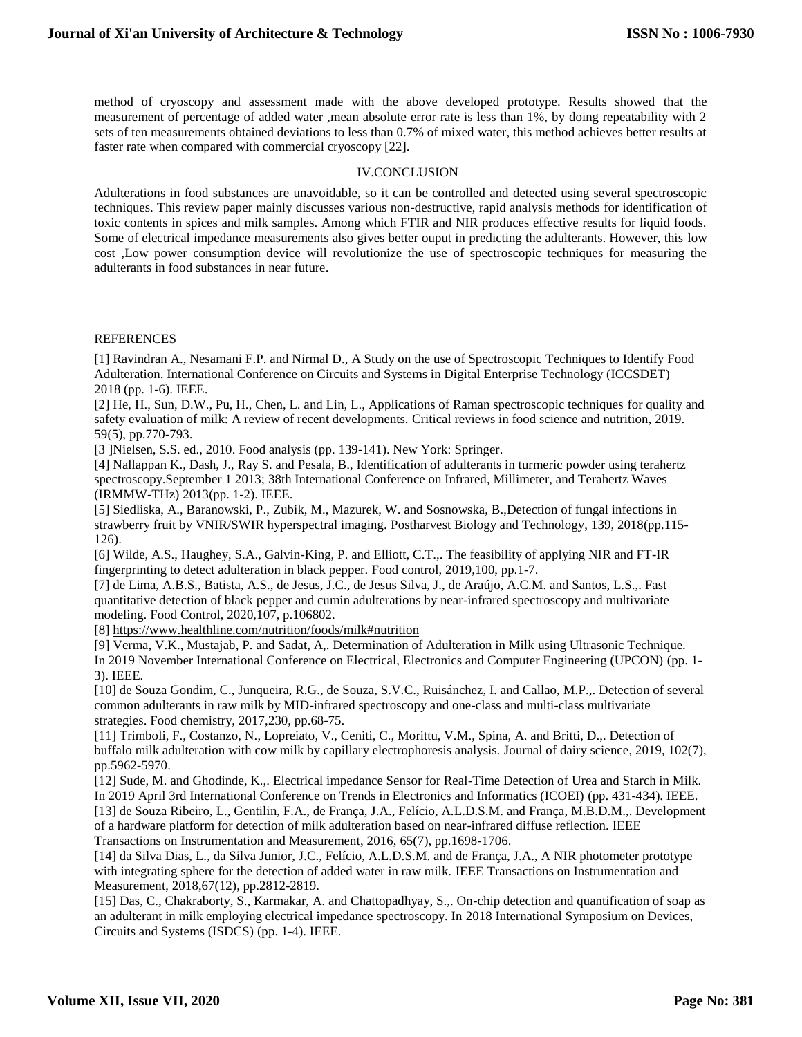method of cryoscopy and assessment made with the above developed prototype. Results showed that the measurement of percentage of added water ,mean absolute error rate is less than 1%, by doing repeatability with 2 sets of ten measurements obtained deviations to less than 0.7% of mixed water, this method achieves better results at faster rate when compared with commercial cryoscopy [22].

## IV.CONCLUSION

Adulterations in food substances are unavoidable, so it can be controlled and detected using several spectroscopic techniques. This review paper mainly discusses various non-destructive, rapid analysis methods for identification of toxic contents in spices and milk samples. Among which FTIR and NIR produces effective results for liquid foods. Some of electrical impedance measurements also gives better ouput in predicting the adulterants. However, this low cost ,Low power consumption device will revolutionize the use of spectroscopic techniques for measuring the adulterants in food substances in near future.

#### REFERENCES

[1] Ravindran A., Nesamani F.P. and Nirmal D., A Study on the use of Spectroscopic Techniques to Identify Food Adulteration. International Conference on Circuits and Systems in Digital Enterprise Technology (ICCSDET) 2018 (pp. 1-6). IEEE.

[2] He, H., Sun, D.W., Pu, H., Chen, L. and Lin, L., Applications of Raman spectroscopic techniques for quality and safety evaluation of milk: A review of recent developments. Critical reviews in food science and nutrition, 2019. 59(5), pp.770-793.

[3 ]Nielsen, S.S. ed., 2010. Food analysis (pp. 139-141). New York: Springer.

[4] Nallappan K., Dash, J., Ray S. and Pesala, B., Identification of adulterants in turmeric powder using terahertz spectroscopy.September 1 2013; 38th International Conference on Infrared, Millimeter, and Terahertz Waves (IRMMW-THz) 2013(pp. 1-2). IEEE.

[5] Siedliska, A., Baranowski, P., Zubik, M., Mazurek, W. and Sosnowska, B.,Detection of fungal infections in strawberry fruit by VNIR/SWIR hyperspectral imaging. Postharvest Biology and Technology, 139, 2018(pp.115- 126).

[6] Wilde, A.S., Haughey, S.A., Galvin-King, P. and Elliott, C.T.,. The feasibility of applying NIR and FT-IR fingerprinting to detect adulteration in black pepper. Food control, 2019,100, pp.1-7.

[7] de Lima, A.B.S., Batista, A.S., de Jesus, J.C., de Jesus Silva, J., de Araújo, A.C.M. and Santos, L.S.,. Fast quantitative detection of black pepper and cumin adulterations by near-infrared spectroscopy and multivariate modeling. Food Control, 2020,107, p.106802.

[8]<https://www.healthline.com/nutrition/foods/milk#nutrition>

[9] Verma, V.K., Mustajab, P. and Sadat, A,. Determination of Adulteration in Milk using Ultrasonic Technique. In 2019 November International Conference on Electrical, Electronics and Computer Engineering (UPCON) (pp. 1- 3). IEEE.

[10] de Souza Gondim, C., Junqueira, R.G., de Souza, S.V.C., Ruisánchez, I. and Callao, M.P.,. Detection of several common adulterants in raw milk by MID-infrared spectroscopy and one-class and multi-class multivariate strategies. Food chemistry, 2017,230, pp.68-75.

[11] Trimboli, F., Costanzo, N., Lopreiato, V., Ceniti, C., Morittu, V.M., Spina, A. and Britti, D.,. Detection of buffalo milk adulteration with cow milk by capillary electrophoresis analysis. Journal of dairy science, 2019, 102(7), pp.5962-5970.

[12] Sude, M. and Ghodinde, K.,. Electrical impedance Sensor for Real-Time Detection of Urea and Starch in Milk. In 2019 April 3rd International Conference on Trends in Electronics and Informatics (ICOEI) (pp. 431-434). IEEE. [13] de Souza Ribeiro, L., Gentilin, F.A., de França, J.A., Felício, A.L.D.S.M. and França, M.B.D.M.,. Development of a hardware platform for detection of milk adulteration based on near-infrared diffuse reflection. IEEE Transactions on Instrumentation and Measurement, 2016, 65(7), pp.1698-1706.

[14] da Silva Dias, L., da Silva Junior, J.C., Felício, A.L.D.S.M. and de França, J.A., A NIR photometer prototype with integrating sphere for the detection of added water in raw milk. IEEE Transactions on Instrumentation and Measurement, 2018,67(12), pp.2812-2819.

[15] Das, C., Chakraborty, S., Karmakar, A. and Chattopadhyay, S.,. On-chip detection and quantification of soap as an adulterant in milk employing electrical impedance spectroscopy. In 2018 International Symposium on Devices, Circuits and Systems (ISDCS) (pp. 1-4). IEEE.